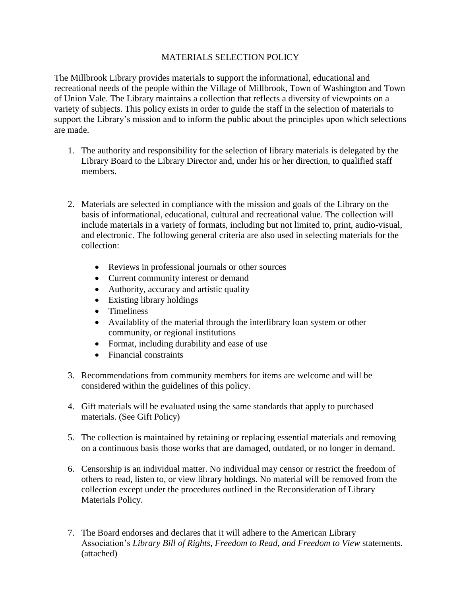## MATERIALS SELECTION POLICY

The Millbrook Library provides materials to support the informational, educational and recreational needs of the people within the Village of Millbrook, Town of Washington and Town of Union Vale. The Library maintains a collection that reflects a diversity of viewpoints on a variety of subjects. This policy exists in order to guide the staff in the selection of materials to support the Library's mission and to inform the public about the principles upon which selections are made.

- 1. The authority and responsibility for the selection of library materials is delegated by the Library Board to the Library Director and, under his or her direction, to qualified staff members.
- 2. Materials are selected in compliance with the mission and goals of the Library on the basis of informational, educational, cultural and recreational value. The collection will include materials in a variety of formats, including but not limited to, print, audio-visual, and electronic. The following general criteria are also used in selecting materials for the collection:
	- Reviews in professional journals or other sources
	- Current community interest or demand
	- Authority, accuracy and artistic quality
	- Existing library holdings
	- Timeliness
	- Availablity of the material through the interlibrary loan system or other community, or regional institutions
	- Format, including durability and ease of use
	- Financial constraints
- 3. Recommendations from community members for items are welcome and will be considered within the guidelines of this policy.
- 4. Gift materials will be evaluated using the same standards that apply to purchased materials. (See Gift Policy)
- 5. The collection is maintained by retaining or replacing essential materials and removing on a continuous basis those works that are damaged, outdated, or no longer in demand.
- 6. Censorship is an individual matter. No individual may censor or restrict the freedom of others to read, listen to, or view library holdings. No material will be removed from the collection except under the procedures outlined in the Reconsideration of Library Materials Policy.
- 7. The Board endorses and declares that it will adhere to the American Library Association's *Library Bill of Rights, Freedom to Read, and Freedom to View* statements. (attached)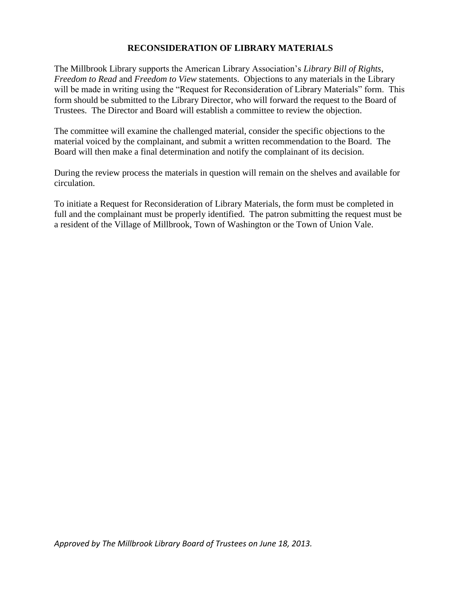## **RECONSIDERATION OF LIBRARY MATERIALS**

The Millbrook Library supports the American Library Association's *Library Bill of Rights*, *Freedom to Read* and *Freedom to View* statements. Objections to any materials in the Library will be made in writing using the "Request for Reconsideration of Library Materials" form. This form should be submitted to the Library Director, who will forward the request to the Board of Trustees. The Director and Board will establish a committee to review the objection.

The committee will examine the challenged material, consider the specific objections to the material voiced by the complainant, and submit a written recommendation to the Board. The Board will then make a final determination and notify the complainant of its decision.

During the review process the materials in question will remain on the shelves and available for circulation.

To initiate a Request for Reconsideration of Library Materials, the form must be completed in full and the complainant must be properly identified. The patron submitting the request must be a resident of the Village of Millbrook, Town of Washington or the Town of Union Vale.